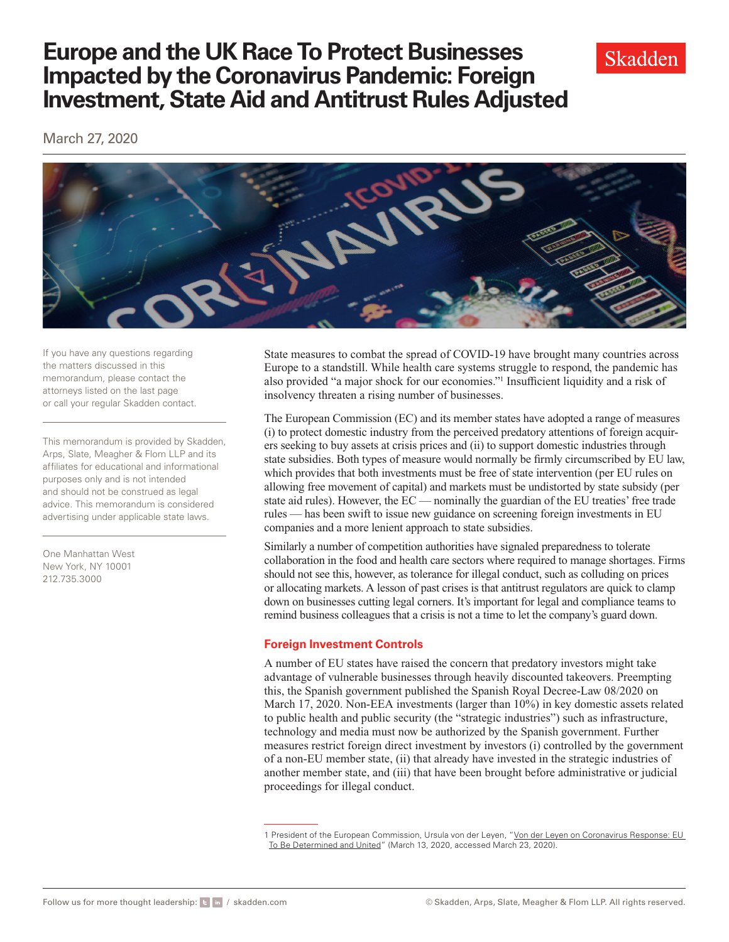March 27, 2020



If you have any questions regarding the matters discussed in this memorandum, please contact the attorneys listed on the last page or call your regular Skadden contact.

This memorandum is provided by Skadden, Arps, Slate, Meagher & Flom LLP and its affiliates for educational and informational purposes only and is not intended and should not be construed as legal advice. This memorandum is considered advertising under applicable state laws.

One Manhattan West New York, NY 10001 212.735.3000

State measures to combat the spread of COVID-19 have brought many countries across Europe to a standstill. While health care systems struggle to respond, the pandemic has also provided "a major shock for our economies."1 Insufficient liquidity and a risk of insolvency threaten a rising number of businesses.

The European Commission (EC) and its member states have adopted a range of measures (i) to protect domestic industry from the perceived predatory attentions of foreign acquirers seeking to buy assets at crisis prices and (ii) to support domestic industries through state subsidies. Both types of measure would normally be firmly circumscribed by EU law, which provides that both investments must be free of state intervention (per EU rules on allowing free movement of capital) and markets must be undistorted by state subsidy (per state aid rules). However, the EC — nominally the guardian of the EU treaties' free trade rules — has been swift to issue new guidance on screening foreign investments in EU companies and a more lenient approach to state subsidies.

Similarly a number of competition authorities have signaled preparedness to tolerate collaboration in the food and health care sectors where required to manage shortages. Firms should not see this, however, as tolerance for illegal conduct, such as colluding on prices or allocating markets. A lesson of past crises is that antitrust regulators are quick to clamp down on businesses cutting legal corners. It's important for legal and compliance teams to remind business colleagues that a crisis is not a time to let the company's guard down.

### **Foreign Investment Controls**

A number of EU states have raised the concern that predatory investors might take advantage of vulnerable businesses through heavily discounted takeovers. Preempting this, the Spanish government published the Spanish Royal Decree-Law 08/2020 on March 17, 2020. Non-EEA investments (larger than 10%) in key domestic assets related to public health and public security (the "strategic industries") such as infrastructure, technology and media must now be authorized by the Spanish government. Further measures restrict foreign direct investment by investors (i) controlled by the government of a non-EU member state, (ii) that already have invested in the strategic industries of another member state, and (iii) that have been brought before administrative or judicial proceedings for illegal conduct.



<sup>1</sup> President of the European Commission, Ursula von der Leyen, "Von der Leyen on Coronavirus Response: EU [To Be Determined and United](https://ec.europa.eu/commission/presscorner/detail/en/AC_20_466)" (March 13, 2020, accessed March 23, 2020).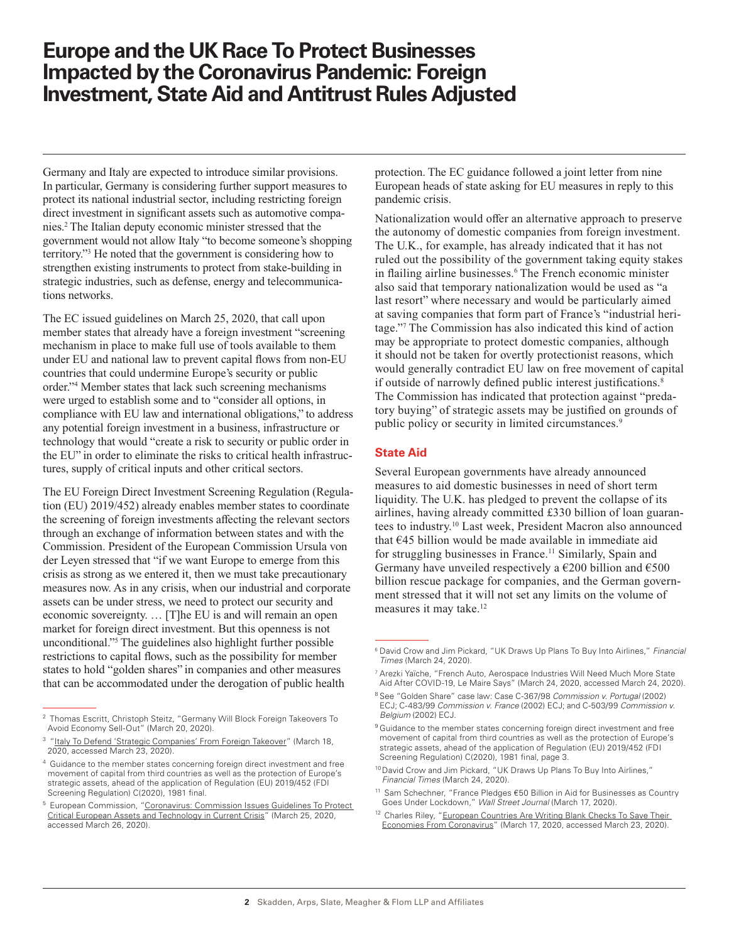Germany and Italy are expected to introduce similar provisions. In particular, Germany is considering further support measures to protect its national industrial sector, including restricting foreign direct investment in significant assets such as automotive companies.2 The Italian deputy economic minister stressed that the government would not allow Italy "to become someone's shopping territory."3 He noted that the government is considering how to strengthen existing instruments to protect from stake-building in strategic industries, such as defense, energy and telecommunications networks.

The EC issued guidelines on March 25, 2020, that call upon member states that already have a foreign investment "screening mechanism in place to make full use of tools available to them under EU and national law to prevent capital flows from non-EU countries that could undermine Europe's security or public order."4 Member states that lack such screening mechanisms were urged to establish some and to "consider all options, in compliance with EU law and international obligations," to address any potential foreign investment in a business, infrastructure or technology that would "create a risk to security or public order in the EU" in order to eliminate the risks to critical health infrastructures, supply of critical inputs and other critical sectors.

The EU Foreign Direct Investment Screening Regulation (Regulation (EU) 2019/452) already enables member states to coordinate the screening of foreign investments affecting the relevant sectors through an exchange of information between states and with the Commission. President of the European Commission Ursula von der Leyen stressed that "if we want Europe to emerge from this crisis as strong as we entered it, then we must take precautionary measures now. As in any crisis, when our industrial and corporate assets can be under stress, we need to protect our security and economic sovereignty. … [T]he EU is and will remain an open market for foreign direct investment. But this openness is not unconditional."5 The guidelines also highlight further possible restrictions to capital flows, such as the possibility for member states to hold "golden shares" in companies and other measures that can be accommodated under the derogation of public health

protection. The EC guidance followed a joint letter from nine European heads of state asking for EU measures in reply to this pandemic crisis.

Nationalization would offer an alternative approach to preserve the autonomy of domestic companies from foreign investment. The U.K., for example, has already indicated that it has not ruled out the possibility of the government taking equity stakes in flailing airline businesses.<sup>6</sup> The French economic minister also said that temporary nationalization would be used as "a last resort" where necessary and would be particularly aimed at saving companies that form part of France's "industrial heritage."7 The Commission has also indicated this kind of action may be appropriate to protect domestic companies, although it should not be taken for overtly protectionist reasons, which would generally contradict EU law on free movement of capital if outside of narrowly defined public interest justifications.<sup>8</sup> The Commission has indicated that protection against "predatory buying" of strategic assets may be justified on grounds of public policy or security in limited circumstances.<sup>9</sup>

### **State Aid**

Several European governments have already announced measures to aid domestic businesses in need of short term liquidity. The U.K. has pledged to prevent the collapse of its airlines, having already committed £330 billion of loan guarantees to industry.10 Last week, President Macron also announced that  $E$ 45 billion would be made available in immediate aid for struggling businesses in France.<sup>11</sup> Similarly, Spain and Germany have unveiled respectively a  $\epsilon$ 200 billion and  $\epsilon$ 500 billion rescue package for companies, and the German government stressed that it will not set any limits on the volume of measures it may take.<sup>12</sup>

<sup>2</sup> Thomas Escritt, Christoph Steitz, "Germany Will Block Foreign Takeovers To Avoid Economy Sell-Out" (March 20, 2020).

<sup>&</sup>lt;sup>3</sup> "[Italy To Defend 'Strategic Companies' From Foreign Takeover"](https://www.marketscreener.com/news/Italy-to-defend-strategic-companies-from-foreign-takeovers--30180926/) (March 18, 2020, accessed March 23, 2020).

<sup>4</sup> Guidance to the member states concerning foreign direct investment and free movement of capital from third countries as well as the protection of Europe's strategic assets, ahead of the application of Regulation (EU) 2019/452 (FDI Screening Regulation) C(2020), 1981 final.

<sup>5</sup> European Commission, "[Coronavirus: Commission Issues Guidelines To Protect](https://ec.europa.eu/commission/presscorner/detail/en/ip_20_528)  [Critical European Assets and Technology in Current Crisis](https://ec.europa.eu/commission/presscorner/detail/en/ip_20_528)" (March 25, 2020, accessed March 26, 2020).

<sup>6</sup> David Crow and Jim Pickard, "UK Draws Up Plans To Buy Into Airlines," *Financial Times* (March 24, 2020).

<sup>7</sup> Arezki Yaïche, "French Auto, Aerospace Industries Will Need Much More State Aid After COVID-19, Le Maire Says" (March 24, 2020, accessed March 24, 2020).

<sup>8</sup> See "Golden Share" case law: Case C-367/98 *Commission v. Portugal* (2002) ECJ; C-483/99 *Commission v. France* (2002) ECJ; and C-503/99 *Commission v. Belgium* (2002) ECJ.

<sup>&</sup>lt;sup>9</sup> Guidance to the member states concerning foreign direct investment and free movement of capital from third countries as well as the protection of Europe's strategic assets, ahead of the application of Regulation (EU) 2019/452 (FDI Screening Regulation) C(2020), 1981 final, page 3.

<sup>10</sup> David Crow and Jim Pickard, "UK Draws Up Plans To Buy Into Airlines," *Financial Times* (March 24, 2020).

<sup>11</sup> Sam Schechner, "France Pledges €50 Billion in Aid for Businesses as Country Goes Under Lockdown," *Wall Street Journal* (March 17, 2020).

<sup>&</sup>lt;sup>12</sup> Charles Riley, "European Countries Are Writing Blank Checks To Save Their [Economies From Coronavirus"](https://edition.cnn.com/2020/03/17/business/coronavirus-economic-response-europe-france/index.html) (March 17, 2020, accessed March 23, 2020).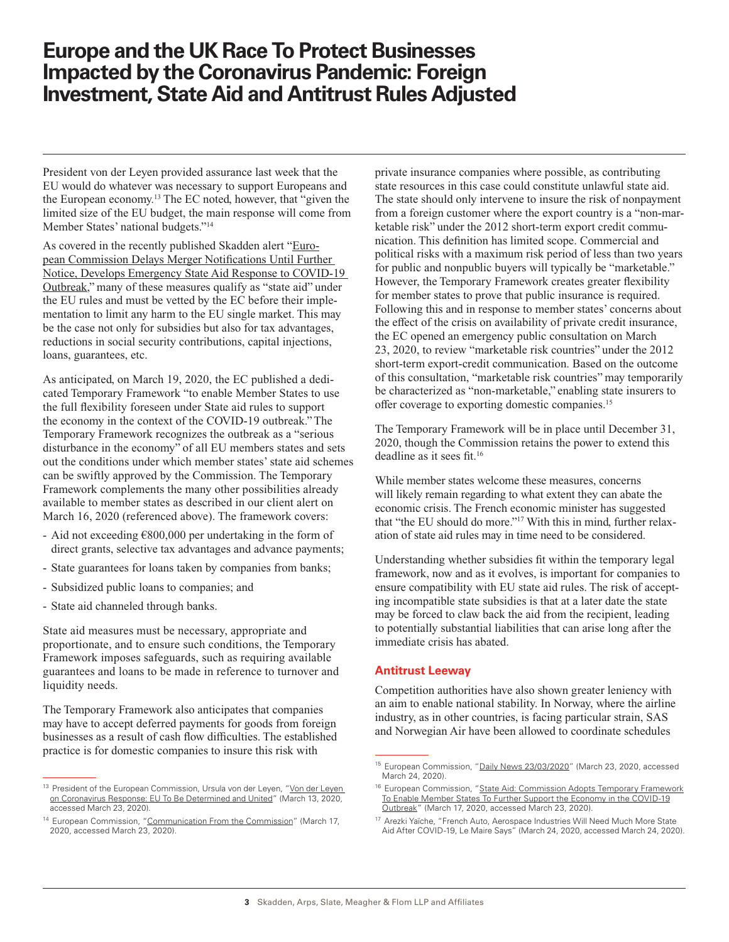President von der Leyen provided assurance last week that the EU would do whatever was necessary to support Europeans and the European economy.13 The EC noted, however, that "given the limited size of the EU budget, the main response will come from Member States' national budgets."<sup>14</sup>

As covered in the recently published Skadden alert "[Euro](https://www.skadden.com/insights/publications/2020/03/european-commission-delays-merger-notifications)[pean Commission Delays Merger Notifications Until Further](https://www.skadden.com/insights/publications/2020/03/european-commission-delays-merger-notifications)  [Notice, Develops Emergency State Aid Response to COVID-19](https://www.skadden.com/insights/publications/2020/03/european-commission-delays-merger-notifications)  [Outbreak](https://www.skadden.com/insights/publications/2020/03/european-commission-delays-merger-notifications)," many of these measures qualify as "state aid" under the EU rules and must be vetted by the EC before their implementation to limit any harm to the EU single market. This may be the case not only for subsidies but also for tax advantages, reductions in social security contributions, capital injections, loans, guarantees, etc.

As anticipated, on March 19, 2020, the EC published a dedicated Temporary Framework "to enable Member States to use the full flexibility foreseen under State aid rules to support the economy in the context of the COVID-19 outbreak." The Temporary Framework recognizes the outbreak as a "serious disturbance in the economy" of all EU members states and sets out the conditions under which member states' state aid schemes can be swiftly approved by the Commission. The Temporary Framework complements the many other possibilities already available to member states as described in our client alert on March 16, 2020 (referenced above). The framework covers:

- Aid not exceeding €800,000 per undertaking in the form of direct grants, selective tax advantages and advance payments;
- State guarantees for loans taken by companies from banks;
- Subsidized public loans to companies; and
- State aid channeled through banks.

State aid measures must be necessary, appropriate and proportionate, and to ensure such conditions, the Temporary Framework imposes safeguards, such as requiring available guarantees and loans to be made in reference to turnover and liquidity needs.

The Temporary Framework also anticipates that companies may have to accept deferred payments for goods from foreign businesses as a result of cash flow difficulties. The established practice is for domestic companies to insure this risk with

private insurance companies where possible, as contributing state resources in this case could constitute unlawful state aid. The state should only intervene to insure the risk of nonpayment from a foreign customer where the export country is a "non-marketable risk" under the 2012 short-term export credit communication. This definition has limited scope. Commercial and political risks with a maximum risk period of less than two years for public and nonpublic buyers will typically be "marketable." However, the Temporary Framework creates greater flexibility for member states to prove that public insurance is required. Following this and in response to member states' concerns about the effect of the crisis on availability of private credit insurance, the EC opened an emergency public consultation on March 23, 2020, to review "marketable risk countries" under the 2012 short-term export-credit communication. Based on the outcome of this consultation, "marketable risk countries" may temporarily be characterized as "non-marketable," enabling state insurers to offer coverage to exporting domestic companies.15

The Temporary Framework will be in place until December 31, 2020, though the Commission retains the power to extend this deadline as it sees fit.16

While member states welcome these measures, concerns will likely remain regarding to what extent they can abate the economic crisis. The French economic minister has suggested that "the EU should do more."17 With this in mind, further relaxation of state aid rules may in time need to be considered.

Understanding whether subsidies fit within the temporary legal framework, now and as it evolves, is important for companies to ensure compatibility with EU state aid rules. The risk of accepting incompatible state subsidies is that at a later date the state may be forced to claw back the aid from the recipient, leading to potentially substantial liabilities that can arise long after the immediate crisis has abated.

### **Antitrust Leeway**

Competition authorities have also shown greater leniency with an aim to enable national stability. In Norway, where the airline industry, as in other countries, is facing particular strain, SAS and Norwegian Air have been allowed to coordinate schedules

<sup>13</sup> President of the European Commission, Ursula von der Leyen, "Von der Leyen [on Coronavirus Response: EU To Be Determined and United](https://ec.europa.eu/commission/presscorner/detail/en/AC_20_466)" (March 13, 2020, accessed March 23, 2020).

<sup>&</sup>lt;sup>14</sup> European Commission, "[Communication From the Commission](https://ec.europa.eu/competition/state_aid/what_is_new/sa_covid19_temporary-framework.pdf)" (March 17, 2020, accessed March 23, 2020).

<sup>&</sup>lt;sup>15</sup> European Commission, "[Daily News 23/03/2020](https://ec.europa.eu/commission/presscorner/detail/en/MEX_20_512)" (March 23, 2020, accessed March 24, 2020).

<sup>&</sup>lt;sup>16</sup> European Commission, "[State Aid: Commission Adopts Temporary Framework](https://ec.europa.eu/commission/presscorner/detail/en/ip_20_496) [To Enable Member States To Further Support the Economy in the COVID-19](https://ec.europa.eu/commission/presscorner/detail/en/ip_20_496) [Outbreak"](https://ec.europa.eu/commission/presscorner/detail/en/ip_20_496) (March 17, 2020, accessed March 23, 2020).

<sup>17</sup> Arezki Yaïche, "French Auto, Aerospace Industries Will Need Much More State Aid After COVID-19, Le Maire Says" (March 24, 2020, accessed March 24, 2020).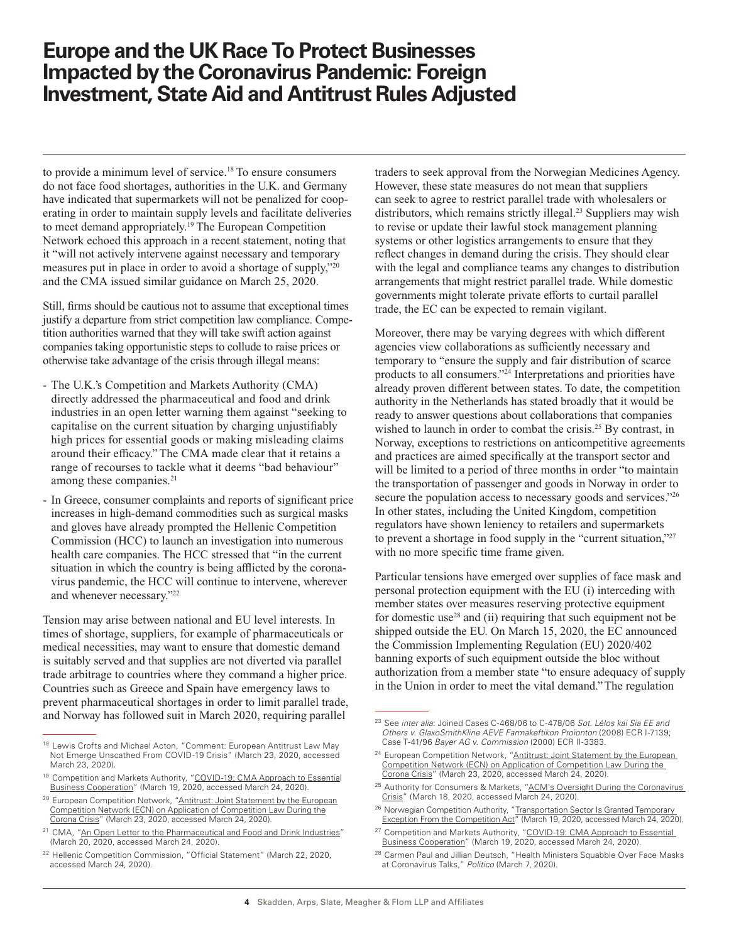to provide a minimum level of service.18 To ensure consumers do not face food shortages, authorities in the U.K. and Germany have indicated that supermarkets will not be penalized for cooperating in order to maintain supply levels and facilitate deliveries to meet demand appropriately.19 The European Competition Network echoed this approach in a recent statement, noting that it "will not actively intervene against necessary and temporary measures put in place in order to avoid a shortage of supply,"20 and the CMA issued similar guidance on March 25, 2020.

Still, firms should be cautious not to assume that exceptional times justify a departure from strict competition law compliance. Competition authorities warned that they will take swift action against companies taking opportunistic steps to collude to raise prices or otherwise take advantage of the crisis through illegal means:

- The U.K.'s Competition and Markets Authority (CMA) directly addressed the pharmaceutical and food and drink industries in an open letter warning them against "seeking to capitalise on the current situation by charging unjustifiably high prices for essential goods or making misleading claims around their efficacy." The CMA made clear that it retains a range of recourses to tackle what it deems "bad behaviour" among these companies.<sup>21</sup>
- In Greece, consumer complaints and reports of significant price increases in high-demand commodities such as surgical masks and gloves have already prompted the Hellenic Competition Commission (HCC) to launch an investigation into numerous health care companies. The HCC stressed that "in the current situation in which the country is being afflicted by the coronavirus pandemic, the HCC will continue to intervene, wherever and whenever necessary."22

Tension may arise between national and EU level interests. In times of shortage, suppliers, for example of pharmaceuticals or medical necessities, may want to ensure that domestic demand is suitably served and that supplies are not diverted via parallel trade arbitrage to countries where they command a higher price. Countries such as Greece and Spain have emergency laws to prevent pharmaceutical shortages in order to limit parallel trade, and Norway has followed suit in March 2020, requiring parallel

traders to seek approval from the Norwegian Medicines Agency. However, these state measures do not mean that suppliers can seek to agree to restrict parallel trade with wholesalers or distributors, which remains strictly illegal.<sup>23</sup> Suppliers may wish to revise or update their lawful stock management planning systems or other logistics arrangements to ensure that they reflect changes in demand during the crisis. They should clear with the legal and compliance teams any changes to distribution arrangements that might restrict parallel trade. While domestic governments might tolerate private efforts to curtail parallel trade, the EC can be expected to remain vigilant.

Moreover, there may be varying degrees with which different agencies view collaborations as sufficiently necessary and temporary to "ensure the supply and fair distribution of scarce products to all consumers."24 Interpretations and priorities have already proven different between states. To date, the competition authority in the Netherlands has stated broadly that it would be ready to answer questions about collaborations that companies wished to launch in order to combat the crisis.<sup>25</sup> By contrast, in Norway, exceptions to restrictions on anticompetitive agreements and practices are aimed specifically at the transport sector and will be limited to a period of three months in order "to maintain the transportation of passenger and goods in Norway in order to secure the population access to necessary goods and services."<sup>26</sup> In other states, including the United Kingdom, competition regulators have shown leniency to retailers and supermarkets to prevent a shortage in food supply in the "current situation,"27 with no more specific time frame given.

Particular tensions have emerged over supplies of face mask and personal protection equipment with the EU (i) interceding with member states over measures reserving protective equipment for domestic use<sup>28</sup> and (ii) requiring that such equipment not be shipped outside the EU. On March 15, 2020, the EC announced the Commission Implementing Regulation (EU) 2020/402 banning exports of such equipment outside the bloc without authorization from a member state "to ensure adequacy of supply in the Union in order to meet the vital demand." The regulation

<sup>26</sup> Norwegian Competition Authority, "Transportation Sector Is Granted Temporary [Exception From the Competition Act](https://konkurransetilsynet.no/transportation-sector-is-granted-temporary-exception-from-the-competition-act/?lang=en)" (March 19, 2020, accessed March 24, 2020).

<sup>&</sup>lt;sup>18</sup> Lewis Crofts and Michael Acton, "Comment: European Antitrust Law May Not Emerge Unscathed From COVID-19 Crisis" (March 23, 2020, accessed March 23, 2020).

<sup>&</sup>lt;sup>19</sup> Competition and Markets Authority, "COVID-19: CMA Approach to Essential [Business Cooperation"](https://www.gov.uk/government/news/covid-19-cma-approach-to-essential-business-cooperation) (March 19, 2020, accessed March 24, 2020).

<sup>&</sup>lt;sup>20</sup> European Competition Network, ["Antitrust: Joint Statement by the European](https://ec.europa.eu/competition/ecn/202003_joint-statement_ecn_corona-crisis.pdf) [Competition Network \(ECN\) on Application of Competition Law During the](https://ec.europa.eu/competition/ecn/202003_joint-statement_ecn_corona-crisis.pdf) [Corona Crisis](https://ec.europa.eu/competition/ecn/202003_joint-statement_ecn_corona-crisis.pdf)" (March 23, 2020, accessed March 24, 2020).

<sup>&</sup>lt;sup>21</sup> CMA, ["An Open Letter to the Pharmaceutical and Food and Drink Industries"](https://assets.publishing.service.gov.uk/government/uploads/system/uploads/attachment_data/file/874240/COVID_19_Open_letter_to_pharmaceutical_and_food_and_drink_industries2.pdf) (March 20, 2020, accessed March 24, 2020).

<sup>&</sup>lt;sup>22</sup> Hellenic Competition Commission, "Official Statement" (March 22, 2020, accessed March 24, 2020).

<sup>23</sup> See *inter alia*: Joined Cases C-468/06 to C-478/06 *Sot. Lélos kai Sia EE and Others v. GlaxoSmithKline AEVE Farmakeftikon Proïonton* (2008) ECR I-7139; Case T-41/96 *Bayer AG v. Commission* (2000) ECR II-3383.

<sup>&</sup>lt;sup>24</sup> European Competition Network, "Antitrust: Joint Statement by the European [Competition Network \(ECN\) on Application of Competition Law During the](https://ec.europa.eu/competition/ecn/202003_joint-statement_ecn_corona-crisis.pdf)  [Corona Crisis](https://ec.europa.eu/competition/ecn/202003_joint-statement_ecn_corona-crisis.pdf)" (March 23, 2020, accessed March 24, 2020).

<sup>&</sup>lt;sup>25</sup> Authority for Consumers & Markets, "ACM's Oversight During the Coronavirus [Crisis](https://www.acm.nl/en/publications/acms-oversight-during-coronavirus-crisis)" (March 18, 2020, accessed March 24, 2020).

<sup>&</sup>lt;sup>27</sup> Competition and Markets Authority, "COVID-19: CMA Approach to Essential [Business Cooperation"](https://www.gov.uk/government/news/covid-19-cma-approach-to-essential-business-cooperation) (March 19, 2020, accessed March 24, 2020).

<sup>&</sup>lt;sup>28</sup> Carmen Paul and Jillian Deutsch, "Health Ministers Squabble Over Face Masks at Coronavirus Talks," *Politico* (March 7, 2020).